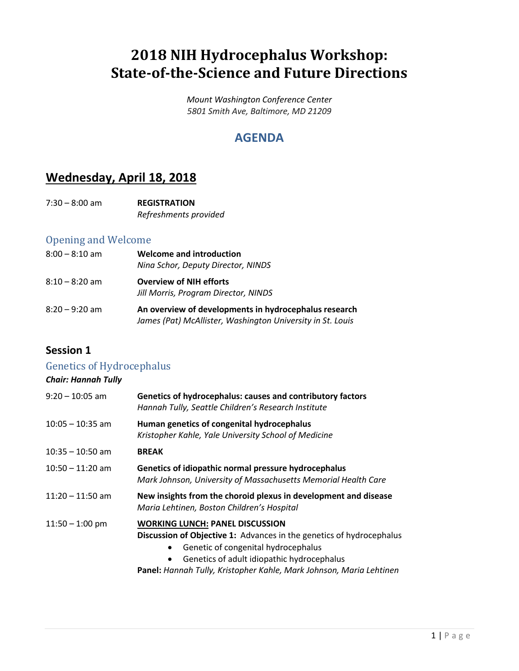## **2018 NIH Hydrocephalus Workshop: State-of-the-Science and Future Directions**

*Mount Washington Conference Center 5801 Smith Ave, Baltimore, MD 21209*

### **AGENDA**

## **Wednesday, April 18, 2018**

| $7:30 - 8:00$ am | <b>REGISTRATION</b>   |
|------------------|-----------------------|
|                  | Refreshments provided |

#### Opening and Welcome

| $8:00 - 8:10$ am | <b>Welcome and introduction</b><br>Nina Schor, Deputy Director, NINDS                                               |
|------------------|---------------------------------------------------------------------------------------------------------------------|
| $8:10 - 8:20$ am | <b>Overview of NIH efforts</b><br>Jill Morris, Program Director, NINDS                                              |
| $8:20 - 9:20$ am | An overview of developments in hydrocephalus research<br>James (Pat) McAllister, Washington University in St. Louis |

#### **Session 1**

#### Genetics of Hydrocephalus

#### *Chair: Hannah Tully*

| $9:20 - 10:05$ am  | Genetics of hydrocephalus: causes and contributory factors<br>Hannah Tully, Seattle Children's Research Institute                                                                                                                                                                                           |
|--------------------|-------------------------------------------------------------------------------------------------------------------------------------------------------------------------------------------------------------------------------------------------------------------------------------------------------------|
| $10:05 - 10:35$ am | Human genetics of congenital hydrocephalus<br>Kristopher Kahle, Yale University School of Medicine                                                                                                                                                                                                          |
| $10:35 - 10:50$ am | <b>BREAK</b>                                                                                                                                                                                                                                                                                                |
| $10:50 - 11:20$ am | Genetics of idiopathic normal pressure hydrocephalus<br>Mark Johnson, University of Massachusetts Memorial Health Care                                                                                                                                                                                      |
| $11:20 - 11:50$ am | New insights from the choroid plexus in development and disease<br>Maria Lehtinen, Boston Children's Hospital                                                                                                                                                                                               |
| $11:50 - 1:00$ pm  | <b>WORKING LUNCH: PANEL DISCUSSION</b><br><b>Discussion of Objective 1:</b> Advances in the genetics of hydrocephalus<br>Genetic of congenital hydrocephalus<br>$\bullet$<br>Genetics of adult idiopathic hydrocephalus<br>$\bullet$<br>Panel: Hannah Tully, Kristopher Kahle, Mark Johnson, Maria Lehtinen |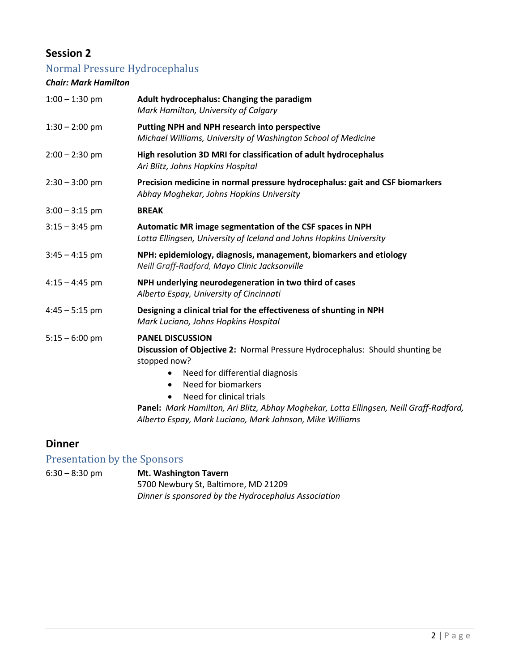#### **Session 2**

## Normal Pressure Hydrocephalus

#### *Chair: Mark Hamilton*

| Adult hydrocephalus: Changing the paradigm<br>Mark Hamilton, University of Calgary                                                                                                                                                                                                                                                                                                    |
|---------------------------------------------------------------------------------------------------------------------------------------------------------------------------------------------------------------------------------------------------------------------------------------------------------------------------------------------------------------------------------------|
| Putting NPH and NPH research into perspective<br>Michael Williams, University of Washington School of Medicine                                                                                                                                                                                                                                                                        |
| High resolution 3D MRI for classification of adult hydrocephalus<br>Ari Blitz, Johns Hopkins Hospital                                                                                                                                                                                                                                                                                 |
| Precision medicine in normal pressure hydrocephalus: gait and CSF biomarkers<br>Abhay Moghekar, Johns Hopkins University                                                                                                                                                                                                                                                              |
| <b>BREAK</b>                                                                                                                                                                                                                                                                                                                                                                          |
| Automatic MR image segmentation of the CSF spaces in NPH<br>Lotta Ellingsen, University of Iceland and Johns Hopkins University                                                                                                                                                                                                                                                       |
| NPH: epidemiology, diagnosis, management, biomarkers and etiology<br>Neill Graff-Radford, Mayo Clinic Jacksonville                                                                                                                                                                                                                                                                    |
| NPH underlying neurodegeneration in two third of cases<br>Alberto Espay, University of Cincinnati                                                                                                                                                                                                                                                                                     |
| Designing a clinical trial for the effectiveness of shunting in NPH<br>Mark Luciano, Johns Hopkins Hospital                                                                                                                                                                                                                                                                           |
| <b>PANEL DISCUSSION</b><br>Discussion of Objective 2: Normal Pressure Hydrocephalus: Should shunting be<br>stopped now?<br>Need for differential diagnosis<br>٠<br>Need for biomarkers<br>$\bullet$<br>Need for clinical trials<br>Panel: Mark Hamilton, Ari Blitz, Abhay Moghekar, Lotta Ellingsen, Neill Graff-Radford,<br>Alberto Espay, Mark Luciano, Mark Johnson, Mike Williams |
|                                                                                                                                                                                                                                                                                                                                                                                       |

#### **Dinner**

## Presentation by the Sponsors

| 6:30 – 8:30 pm | <b>Mt. Washington Tavern</b>                         |
|----------------|------------------------------------------------------|
|                | 5700 Newbury St, Baltimore, MD 21209                 |
|                | Dinner is sponsored by the Hydrocephalus Association |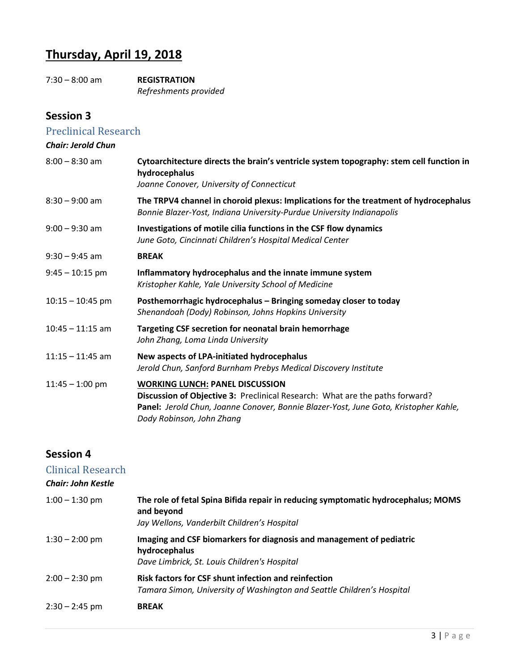## **Thursday, April 19, 2018**

7:30 – 8:00 am **REGISTRATION** *Refreshments provided*

#### **Session 3**

#### Preclinical Research *Chair: Jerold Chun*

| $8:00 - 8:30$ am   | Cytoarchitecture directs the brain's ventricle system topography: stem cell function in<br>hydrocephalus<br>Joanne Conover, University of Connecticut                                                                                       |
|--------------------|---------------------------------------------------------------------------------------------------------------------------------------------------------------------------------------------------------------------------------------------|
| $8:30 - 9:00$ am   | The TRPV4 channel in choroid plexus: Implications for the treatment of hydrocephalus<br>Bonnie Blazer-Yost, Indiana University-Purdue University Indianapolis                                                                               |
| $9:00 - 9:30$ am   | Investigations of motile cilia functions in the CSF flow dynamics<br>June Goto, Cincinnati Children's Hospital Medical Center                                                                                                               |
| $9:30 - 9:45$ am   | <b>BREAK</b>                                                                                                                                                                                                                                |
| $9:45 - 10:15$ pm  | Inflammatory hydrocephalus and the innate immune system<br>Kristopher Kahle, Yale University School of Medicine                                                                                                                             |
| $10:15 - 10:45$ pm | Posthemorrhagic hydrocephalus - Bringing someday closer to today<br>Shenandoah (Dody) Robinson, Johns Hopkins University                                                                                                                    |
| $10:45 - 11:15$ am | Targeting CSF secretion for neonatal brain hemorrhage<br>John Zhang, Loma Linda University                                                                                                                                                  |
| $11:15 - 11:45$ am | New aspects of LPA-initiated hydrocephalus<br>Jerold Chun, Sanford Burnham Prebys Medical Discovery Institute                                                                                                                               |
| $11:45 - 1:00$ pm  | <b>WORKING LUNCH: PANEL DISCUSSION</b><br>Discussion of Objective 3: Preclinical Research: What are the paths forward?<br>Panel: Jerold Chun, Joanne Conover, Bonnie Blazer-Yost, June Goto, Kristopher Kahle,<br>Dody Robinson, John Zhang |

#### **Session 4**

#### Clinical Research *Chair: John Kestle* 1:00 – 1:30 pm **The role of fetal Spina Bifida repair in reducing symptomatic hydrocephalus; MOMS and beyond** *Jay Wellons, Vanderbilt Children's Hospital* 1:30 – 2:00 pm **Imaging and CSF biomarkers for diagnosis and management of pediatric hydrocephalus** *Dave Limbrick, St. Louis Children's Hospital* 2:00 – 2:30 pm **Risk factors for CSF shunt infection and reinfection** *Tamara Simon, University of Washington and Seattle Children's Hospital* 2:30 – 2:45 pm **BREAK**